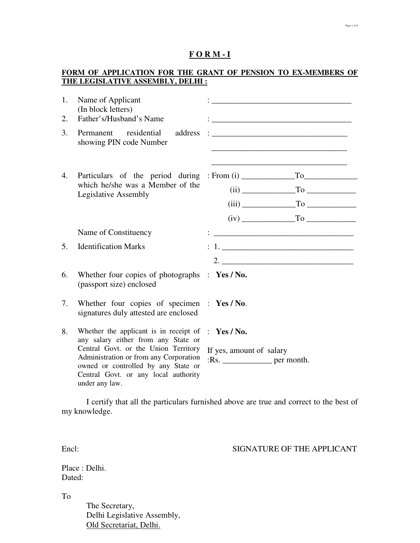#### **F O R M - I**

## **FORM OF APPLICATION FOR THE GRANT OF PENSION TO EX-MEMBERS OF THE LEGISLATIVE ASSEMBLY, DELHI :**

| 1. | Name of Applicant<br>(In block letters)                                                                                                                                         |                                                                |
|----|---------------------------------------------------------------------------------------------------------------------------------------------------------------------------------|----------------------------------------------------------------|
| 2. | Father's/Husband's Name                                                                                                                                                         |                                                                |
| 3. | address<br>Permanent residential<br>showing PIN code Number                                                                                                                     |                                                                |
| 4. | which he/she was a Member of the<br>Legislative Assembly                                                                                                                        |                                                                |
|    |                                                                                                                                                                                 | $(iii)$ $T_0$                                                  |
|    |                                                                                                                                                                                 | $(iv)$ $\qquad \qquad$ To $\qquad \qquad$                      |
|    | Name of Constituency                                                                                                                                                            |                                                                |
| 5. | <b>Identification Marks</b>                                                                                                                                                     |                                                                |
|    |                                                                                                                                                                                 |                                                                |
| 6. | Whether four copies of photographs $\therefore$ Yes / No.<br>(passport size) enclosed                                                                                           |                                                                |
| 7. | Whether four copies of specimen : $Yes/No.$<br>signatures duly attested are enclosed                                                                                            |                                                                |
| 8. | Whether the applicant is in receipt of $\gamma$ <b>Yes</b> / No.<br>any salary either from any State or                                                                         |                                                                |
|    | Central Govt. or the Union Territory<br>Administration or from any Corporation<br>owned or controlled by any State or<br>Central Govt. or any local authority<br>under any law. | If yes, amount of salary<br>$: Rs. \_\_\_\_\_\_\_\$ per month. |

 I certify that all the particulars furnished above are true and correct to the best of my knowledge.

Encl: SIGNATURE OF THE APPLICANT

Place : Delhi. Dated:

To

 The Secretary, Delhi Legislative Assembly, Old Secretariat, Delhi.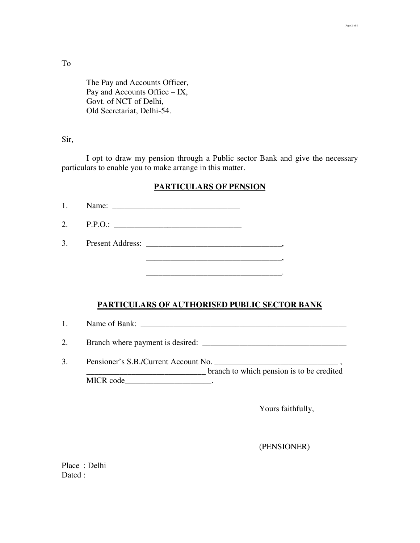To

 The Pay and Accounts Officer, Pay and Accounts Office – IX, Govt. of NCT of Delhi, Old Secretariat, Delhi-54.

#### Sir,

I opt to draw my pension through a Public sector Bank and give the necessary particulars to enable you to make arrange in this matter.

# **PARTICULARS OF PENSION**

1. Name: \_\_\_\_\_\_\_\_\_\_\_\_\_\_\_\_\_\_\_\_\_\_\_\_\_\_\_\_\_\_\_

2. P.P.O.: \_\_\_\_\_\_\_\_\_\_\_\_\_\_\_\_\_\_\_\_\_\_\_\_\_\_\_\_\_\_\_

3. Present Address: \_\_\_\_\_\_\_\_\_\_\_\_\_\_\_\_\_\_\_\_\_\_\_\_\_\_\_\_\_\_\_\_\_,

\_\_\_\_\_\_\_\_\_\_\_\_\_\_\_\_\_\_\_\_\_\_\_\_\_\_\_\_\_\_\_\_\_.

#### **PARTICULARS OF AUTHORISED PUBLIC SECTOR BANK**

 $\overline{\phantom{a}}$ 

1. Name of Bank: \_\_\_\_\_\_\_\_\_\_\_\_\_\_\_\_\_\_\_\_\_\_\_\_\_\_\_\_\_\_\_\_\_\_\_\_\_\_\_\_\_\_\_\_\_\_\_\_\_\_

2. Branch where payment is desired: \_\_\_\_\_\_\_\_\_\_\_\_\_\_\_\_\_\_\_\_\_\_\_\_\_\_\_\_\_\_\_\_\_\_\_

3. Pensioner's S.B./Current Account No. \_\_\_\_\_\_\_\_\_\_\_\_\_\_\_\_\_\_\_\_\_\_\_\_\_\_\_\_\_\_ , \_\_\_\_\_\_\_\_\_\_\_\_\_\_\_\_\_\_\_\_\_\_\_\_\_\_\_\_\_ branch to which pension is to be credited MICR code\_\_\_\_\_\_\_\_\_\_\_\_\_\_\_\_\_\_\_\_\_\_\_\_.

Yours faithfully,

(PENSIONER)

Place : Delhi Dated :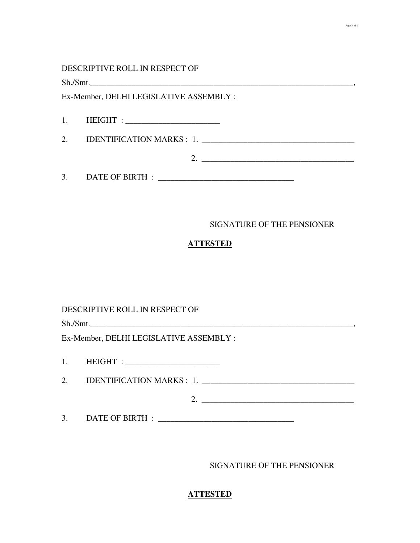#### DESCRIPTIVE ROLL IN RESPECT OF

 $\text{Sh./Smt.}\_\text{out}$ 

Ex-Member, DELHI LEGISLATIVE ASSEMBLY :

1. HEIGHT : \_\_\_\_\_\_\_\_\_\_\_\_\_\_\_\_\_\_\_\_\_\_\_

2. IDENTIFICATION MARKS : 1. \_\_\_\_\_\_\_\_\_\_\_\_\_\_\_\_\_\_\_\_\_\_\_\_\_\_\_\_\_\_\_\_\_\_\_\_\_

3. DATE OF BIRTH : \_\_\_\_\_\_\_\_\_\_\_\_\_\_\_\_\_\_\_\_\_\_\_\_\_\_\_\_\_\_\_\_\_

#### SIGNATURE OF THE PENSIONER

#### **ATTESTED**

DESCRIPTIVE ROLL IN RESPECT OF

 $\text{Sh./Smt.}\n \overbrace{\phantom{\qquad \qquad \qquad }}$ 

Ex-Member, DELHI LEGISLATIVE ASSEMBLY :

1. HEIGHT : \_\_\_\_\_\_\_\_\_\_\_\_\_\_\_\_\_\_\_\_\_\_\_

2. IDENTIFICATION MARKS : 1. \_\_\_\_\_\_\_\_\_\_\_\_\_\_\_\_\_\_\_\_\_\_\_\_\_\_\_\_\_\_\_\_\_\_\_\_\_

2. \_\_\_\_\_\_\_\_\_\_\_\_\_\_\_\_\_\_\_\_\_\_\_\_\_\_\_\_\_\_\_\_\_\_\_\_\_

3. DATE OF BIRTH : \_\_\_\_\_\_\_\_\_\_\_\_\_\_\_\_\_\_\_\_\_\_\_\_\_\_\_\_\_\_\_\_\_

SIGNATURE OF THE PENSIONER

## **ATTESTED**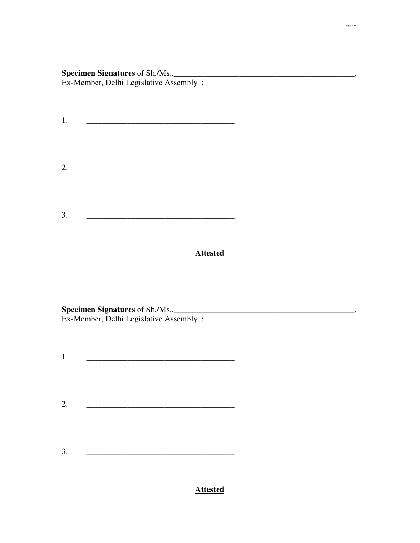# **Specimen Signatures** of Sh./Ms..\_\_\_\_\_\_\_\_\_\_\_\_\_\_\_\_\_\_\_\_\_\_\_\_\_\_\_\_\_\_\_\_\_\_\_\_\_\_\_\_\_\_\_\_, Ex-Member, Delhi Legislative Assembly :

1. \_\_\_\_\_\_\_\_\_\_\_\_\_\_\_\_\_\_\_\_\_\_\_\_\_\_\_\_\_\_\_\_\_\_\_\_ 2. \_\_\_\_\_\_\_\_\_\_\_\_\_\_\_\_\_\_\_\_\_\_\_\_\_\_\_\_\_\_\_\_\_\_\_\_ 3. \_\_\_\_\_\_\_\_\_\_\_\_\_\_\_\_\_\_\_\_\_\_\_\_\_\_\_\_\_\_\_\_\_\_\_\_

# **Attested**

**Specimen Signatures** of Sh./Ms..\_\_\_\_\_\_\_\_\_\_\_\_\_\_\_\_\_\_\_\_\_\_\_\_\_\_\_\_\_\_\_\_\_\_\_\_\_\_\_\_\_\_\_\_, Ex-Member, Delhi Legislative Assembly :

- 1. \_\_\_\_\_\_\_\_\_\_\_\_\_\_\_\_\_\_\_\_\_\_\_\_\_\_\_\_\_\_\_\_\_\_\_\_
- $2.$
- 3. <u>\_\_\_\_\_\_\_\_\_\_\_\_\_\_\_\_\_\_\_\_\_\_\_\_\_\_\_\_\_\_\_\_\_\_\_</u>

# **Attested**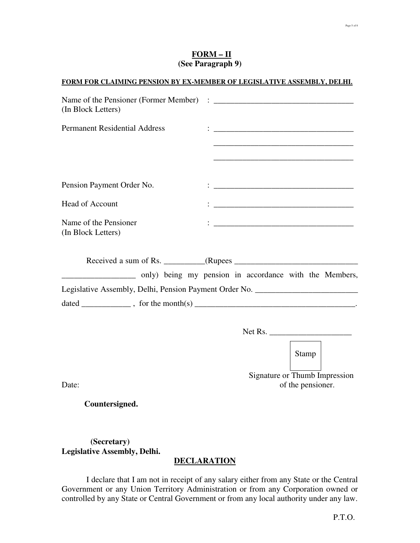| $FORM - II$       |  |
|-------------------|--|
| (See Paragraph 9) |  |

#### **FORM FOR CLAIMING PENSION BY EX-MEMBER OF LEGISLATIVE ASSEMBLY, DELHI.**

| (In Block Letters)                          |                                                                                                                                                                                                                                 |
|---------------------------------------------|---------------------------------------------------------------------------------------------------------------------------------------------------------------------------------------------------------------------------------|
| <b>Permanent Residential Address</b>        | $\ddotsc$ . The contract of the contract of the contract of the contract of the contract of the contract of the contract of the contract of the contract of the contract of the contract of the contract of the contract of the |
|                                             | <u> 1989 - Johann Stoff, deutscher Stoff, der Stoff, der Stoff, der Stoff, der Stoff, der Stoff, der Stoff, der S</u>                                                                                                           |
| Pension Payment Order No.                   |                                                                                                                                                                                                                                 |
| <b>Head of Account</b>                      | <u> 1989 - Johann Harry Harry Harry Harry Harry Harry Harry Harry Harry Harry Harry Harry Harry Harry Harry Harry</u>                                                                                                           |
| Name of the Pensioner<br>(In Block Letters) |                                                                                                                                                                                                                                 |
|                                             |                                                                                                                                                                                                                                 |
|                                             | _____________________ only) being my pension in accordance with the Members,                                                                                                                                                    |
|                                             | Legislative Assembly, Delhi, Pension Payment Order No. _________________________                                                                                                                                                |
|                                             |                                                                                                                                                                                                                                 |
|                                             |                                                                                                                                                                                                                                 |
|                                             | Stamp                                                                                                                                                                                                                           |

 Signature or Thumb Impression Date: of the pensioner.

 **Countersigned.** 

# **(Secretary) Legislative Assembly, Delhi.**

# **DECLARATION**

 I declare that I am not in receipt of any salary either from any State or the Central Government or any Union Territory Administration or from any Corporation owned or controlled by any State or Central Government or from any local authority under any law.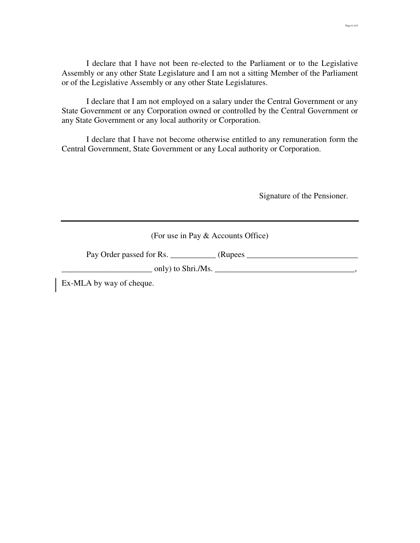I declare that I have not been re-elected to the Parliament or to the Legislative Assembly or any other State Legislature and I am not a sitting Member of the Parliament or of the Legislative Assembly or any other State Legislatures.

 I declare that I am not employed on a salary under the Central Government or any State Government or any Corporation owned or controlled by the Central Government or any State Government or any local authority or Corporation.

 I declare that I have not become otherwise entitled to any remuneration form the Central Government, State Government or any Local authority or Corporation.

Signature of the Pensioner.

(For use in Pay & Accounts Office)

Pay Order passed for Rs. \_\_\_\_\_\_\_\_\_\_\_ (Rupees \_\_\_\_\_\_\_\_\_\_\_\_\_\_\_\_\_\_\_\_\_\_\_\_\_\_\_

 $\Box$  only) to Shri./Ms.  $\Box$ 

Ex-MLA by way of cheque.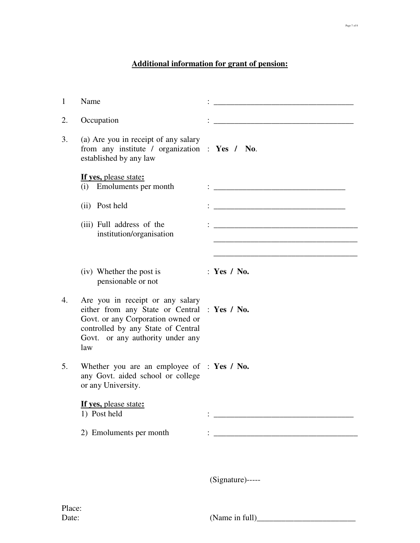# **Additional information for grant of pension:**

| 1  | Name                                                                                                                                                                                                   |                                                                                                                       |
|----|--------------------------------------------------------------------------------------------------------------------------------------------------------------------------------------------------------|-----------------------------------------------------------------------------------------------------------------------|
| 2. | Occupation                                                                                                                                                                                             |                                                                                                                       |
| 3. | (a) Are you in receipt of any salary<br>from any institute / organization : Yes / No.<br>established by any law                                                                                        |                                                                                                                       |
|    | If yes, please state:<br>(i) Emoluments per month                                                                                                                                                      |                                                                                                                       |
|    | (ii) Post held                                                                                                                                                                                         |                                                                                                                       |
|    | (iii) Full address of the<br>institution/organisation                                                                                                                                                  | <u> 1980 - Jan James James, martin amerikan basar dan bagi dan bagi dari dalam basar dan bagi dalam bagi dalam ba</u> |
|    | (iv) Whether the post is<br>pensionable or not                                                                                                                                                         | : Yes / No.                                                                                                           |
| 4. | Are you in receipt or any salary<br>either from any State or Central : Yes / No.<br>Govt. or any Corporation owned or<br>controlled by any State of Central<br>Govt. or any authority under any<br>law |                                                                                                                       |
| 5. | Whether you are an employee of $\therefore$ Yes / No.<br>any Govt. aided school or college<br>or any University.                                                                                       |                                                                                                                       |
|    | If yes, please state:<br>1) Post held                                                                                                                                                                  |                                                                                                                       |
|    | 2) Emoluments per month                                                                                                                                                                                | <u> 1989 - Johann Harry Harry Harry Harry Harry Harry Harry Harry Harry Harry Harry Harry Harry Harry Harry Harry</u> |
|    |                                                                                                                                                                                                        | (Signature)-----                                                                                                      |

 $(Name in full)$